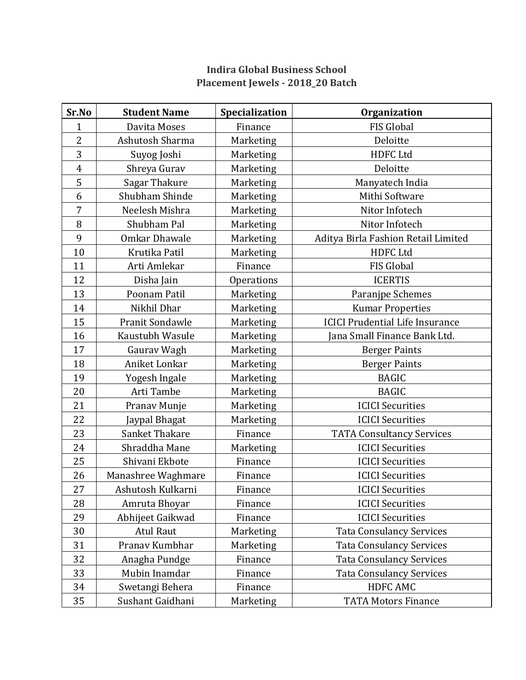## **Indira Global Business School Placement Jewels - 2018\_20 Batch**

| Sr.No          | <b>Student Name</b>  | Specialization    | <b>Organization</b>                    |
|----------------|----------------------|-------------------|----------------------------------------|
| 1              | Davita Moses         | Finance           | <b>FIS Global</b>                      |
| $\overline{2}$ | Ashutosh Sharma      | Marketing         | Deloitte                               |
| 3              | Suyog Joshi          | Marketing         | <b>HDFC Ltd</b>                        |
| $\overline{4}$ | Shreya Gurav         | Marketing         | Deloitte                               |
| 5              | Sagar Thakure        | Marketing         | Manyatech India                        |
| 6              | Shubham Shinde       | Marketing         | Mithi Software                         |
| $\overline{7}$ | Neelesh Mishra       | Marketing         | Nitor Infotech                         |
| 8              | Shubham Pal          | Marketing         | Nitor Infotech                         |
| 9              | <b>Omkar Dhawale</b> | Marketing         | Aditya Birla Fashion Retail Limited    |
| 10             | Krutika Patil        | Marketing         | <b>HDFC Ltd</b>                        |
| 11             | Arti Amlekar         | Finance           | <b>FIS Global</b>                      |
| 12             | Disha Jain           | <b>Operations</b> | <b>ICERTIS</b>                         |
| 13             | Poonam Patil         | Marketing         | Paranjpe Schemes                       |
| 14             | Nikhil Dhar          | Marketing         | <b>Kumar Properties</b>                |
| 15             | Pranit Sondawle      | Marketing         | <b>ICICI Prudential Life Insurance</b> |
| 16             | Kaustubh Wasule      | Marketing         | Jana Small Finance Bank Ltd.           |
| 17             | Gaurav Wagh          | Marketing         | <b>Berger Paints</b>                   |
| 18             | Aniket Lonkar        | Marketing         | <b>Berger Paints</b>                   |
| 19             | Yogesh Ingale        | Marketing         | <b>BAGIC</b>                           |
| 20             | Arti Tambe           | Marketing         | <b>BAGIC</b>                           |
| 21             | Pranav Munje         | Marketing         | <b>ICICI Securities</b>                |
| 22             | Jaypal Bhagat        | Marketing         | <b>ICICI Securities</b>                |
| 23             | Sanket Thakare       | Finance           | <b>TATA Consultancy Services</b>       |
| 24             | Shraddha Mane        | Marketing         | <b>ICICI Securities</b>                |
| 25             | Shivani Ekbote       | Finance           | <b>ICICI Securities</b>                |
| 26             | Manashree Waghmare   | Finance           | <b>ICICI Securities</b>                |
| 27             | Ashutosh Kulkarni    | Finance           | <b>ICICI Securities</b>                |
| 28             | Amruta Bhoyar        | Finance           | <b>ICICI Securities</b>                |
| 29             | Abhijeet Gaikwad     | Finance           | <b>ICICI Securities</b>                |
| 30             | <b>Atul Raut</b>     | Marketing         | <b>Tata Consulancy Services</b>        |
| 31             | Pranav Kumbhar       | Marketing         | <b>Tata Consulancy Services</b>        |
| 32             | Anagha Pundge        | Finance           | <b>Tata Consulancy Services</b>        |
| 33             | Mubin Inamdar        | Finance           | <b>Tata Consulancy Services</b>        |
| 34             | Swetangi Behera      | Finance           | HDFC AMC                               |
| 35             | Sushant Gaidhani     | Marketing         | <b>TATA Motors Finance</b>             |